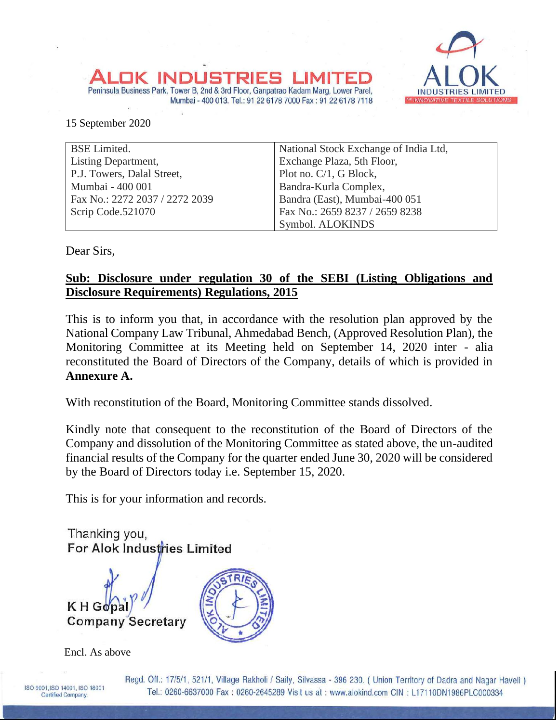Peninsula Business Park, Tower B, 2nd & 3rd Floor, Ganpatrao Kadam Marg, Lower Parel, Mumbai - 400 013. Tel.: 91 22 6178 7000 Fax: 91 22 6178 7118



15 September 2020

| <b>BSE</b> Limited.            | National Stock Exchange of India Ltd, |
|--------------------------------|---------------------------------------|
| <b>Listing Department,</b>     | Exchange Plaza, 5th Floor,            |
| P.J. Towers, Dalal Street,     | Plot no. C/1, G Block,                |
| Mumbai - 400 001               | Bandra-Kurla Complex,                 |
| Fax No.: 2272 2037 / 2272 2039 | Bandra (East), Mumbai-400 051         |
| Scrip Code.521070              | Fax No.: 2659 8237 / 2659 8238        |
|                                | Symbol. ALOKINDS                      |

Dear Sirs,

# **Sub: Disclosure under regulation 30 of the SEBI (Listing Obligations and Disclosure Requirements) Regulations, 2015**

This is to inform you that, in accordance with the resolution plan approved by the National Company Law Tribunal, Ahmedabad Bench, (Approved Resolution Plan), the Monitoring Committee at its Meeting held on September 14, 2020 inter - alia reconstituted the Board of Directors of the Company, details of which is provided in **Annexure A.**

With reconstitution of the Board, Monitoring Committee stands dissolved.

Kindly note that consequent to the reconstitution of the Board of Directors of the Company and dissolution of the Monitoring Committee as stated above, the un-audited financial results of the Company for the quarter ended June 30, 2020 will be considered by the Board of Directors today i.e. September 15, 2020.

This is for your information and records.

Thanking you, For Alok Industries Limited **Company Secretary** 



Encl. As above

Regd. Off.: 17/5/1, 521/1, Village Rakholi / Saily, Silvassa - 396 230. ( Union Territory of Dadra and Nagar Haveli ) Tel.: 0260-6637000 Fax: 0260-2645289 Visit us at: www.alokind.com CIN: L17110DN1986PLC000334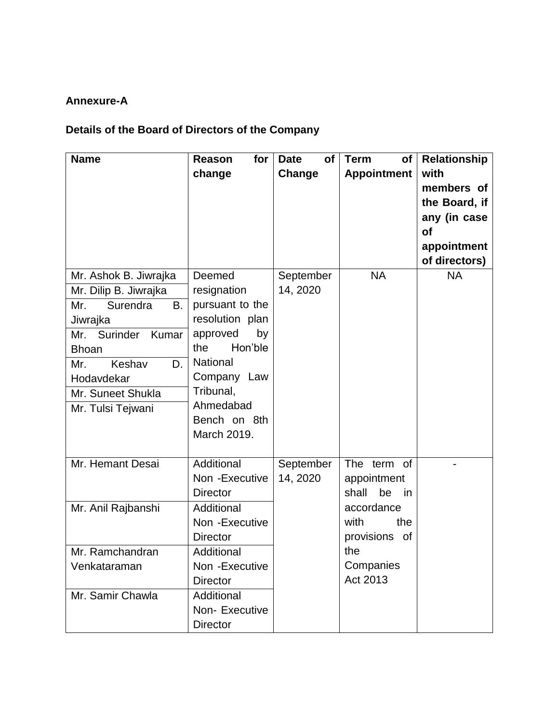# **Annexure-A**

# **Details of the Board of Directors of the Company**

| <b>Name</b>                                                                                                                                                                                                        | for<br>Reason<br>change                                                                                                                                                                                    | <b>Date</b><br><b>of</b><br>Change | <b>Term</b><br>of<br><b>Appointment</b>                                                                                          | <b>Relationship</b><br>with<br>members of<br>the Board, if<br>any (in case<br><b>of</b><br>appointment<br>of directors) |
|--------------------------------------------------------------------------------------------------------------------------------------------------------------------------------------------------------------------|------------------------------------------------------------------------------------------------------------------------------------------------------------------------------------------------------------|------------------------------------|----------------------------------------------------------------------------------------------------------------------------------|-------------------------------------------------------------------------------------------------------------------------|
| Mr. Ashok B. Jiwrajka<br>Mr. Dilip B. Jiwrajka<br>Surendra<br><b>B.</b><br>Mr.<br>Jiwrajka<br>Mr. Surinder<br>Kumar<br><b>Bhoan</b><br>Keshav<br>D.<br>Mr.<br>Hodavdekar<br>Mr. Suneet Shukla<br>Mr. Tulsi Tejwani | Deemed<br>resignation<br>pursuant to the<br>resolution plan<br>approved<br>by<br>Hon'ble<br>the<br><b>National</b><br>Company Law<br>Tribunal,<br>Ahmedabad<br>Bench on 8th<br>March 2019.                 | September<br>14, 2020              | <b>NA</b>                                                                                                                        | <b>NA</b>                                                                                                               |
| Mr. Hemant Desai<br>Mr. Anil Rajbanshi<br>Mr. Ramchandran<br>Venkataraman<br>Mr. Samir Chawla                                                                                                                      | Additional<br>Non - Executive<br><b>Director</b><br>Additional<br>Non - Executive<br><b>Director</b><br>Additional<br>Non - Executive<br><b>Director</b><br>Additional<br>Non-Executive<br><b>Director</b> | September<br>14, 2020              | The term of<br>appointment<br>be<br>shall<br>in in<br>accordance<br>with<br>the<br>provisions of<br>the<br>Companies<br>Act 2013 |                                                                                                                         |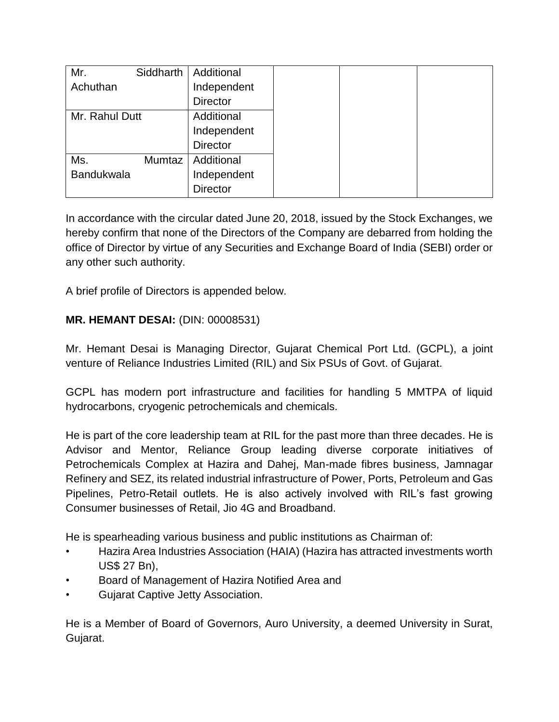| Mr.               | Siddharth | Additional      |
|-------------------|-----------|-----------------|
| Achuthan          |           | Independent     |
|                   |           | <b>Director</b> |
| Mr. Rahul Dutt    |           | Additional      |
|                   |           | Independent     |
|                   |           | <b>Director</b> |
| Ms.               | Mumtaz    | Additional      |
| <b>Bandukwala</b> |           | Independent     |
|                   |           | <b>Director</b> |

In accordance with the circular dated June 20, 2018, issued by the Stock Exchanges, we hereby confirm that none of the Directors of the Company are debarred from holding the office of Director by virtue of any Securities and Exchange Board of India (SEBI) order or any other such authority.

A brief profile of Directors is appended below.

# **MR. HEMANT DESAI:** (DIN: 00008531)

Mr. Hemant Desai is Managing Director, Gujarat Chemical Port Ltd. (GCPL), a joint venture of Reliance Industries Limited (RIL) and Six PSUs of Govt. of Gujarat.

GCPL has modern port infrastructure and facilities for handling 5 MMTPA of liquid hydrocarbons, cryogenic petrochemicals and chemicals.

He is part of the core leadership team at RIL for the past more than three decades. He is Advisor and Mentor, Reliance Group leading diverse corporate initiatives of Petrochemicals Complex at Hazira and Dahej, Man-made fibres business, Jamnagar Refinery and SEZ, its related industrial infrastructure of Power, Ports, Petroleum and Gas Pipelines, Petro-Retail outlets. He is also actively involved with RIL's fast growing Consumer businesses of Retail, Jio 4G and Broadband.

He is spearheading various business and public institutions as Chairman of:

- Hazira Area Industries Association (HAIA) (Hazira has attracted investments worth US\$ 27 Bn),
- Board of Management of Hazira Notified Area and
- Gujarat Captive Jetty Association.

He is a Member of Board of Governors, Auro University, a deemed University in Surat, Gujarat.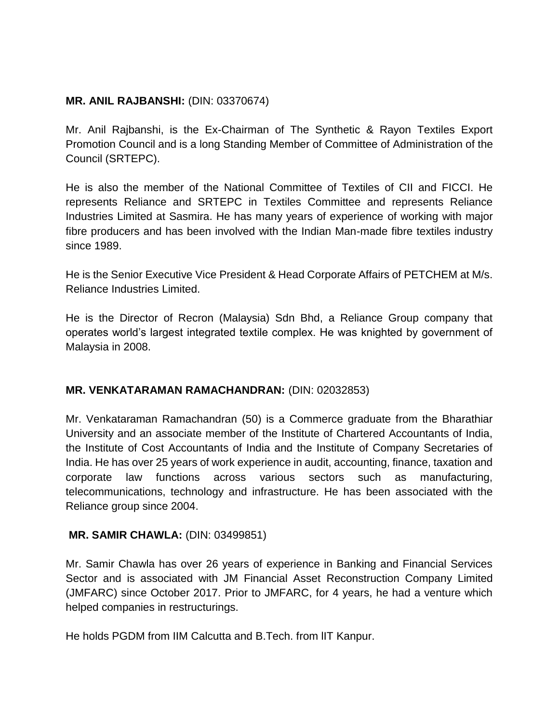### **MR. ANIL RAJBANSHI:** (DIN: 03370674)

Mr. Anil Rajbanshi, is the Ex-Chairman of The Synthetic & Rayon Textiles Export Promotion Council and is a long Standing Member of Committee of Administration of the Council (SRTEPC).

He is also the member of the National Committee of Textiles of CII and FICCI. He represents Reliance and SRTEPC in Textiles Committee and represents Reliance Industries Limited at Sasmira. He has many years of experience of working with major fibre producers and has been involved with the Indian Man-made fibre textiles industry since 1989.

He is the Senior Executive Vice President & Head Corporate Affairs of PETCHEM at M/s. Reliance Industries Limited.

He is the Director of Recron (Malaysia) Sdn Bhd, a Reliance Group company that operates world's largest integrated textile complex. He was knighted by government of Malaysia in 2008.

## **MR. VENKATARAMAN RAMACHANDRAN:** (DIN: 02032853)

Mr. Venkataraman Ramachandran (50) is a Commerce graduate from the Bharathiar University and an associate member of the Institute of Chartered Accountants of India, the Institute of Cost Accountants of India and the Institute of Company Secretaries of India. He has over 25 years of work experience in audit, accounting, finance, taxation and corporate law functions across various sectors such as manufacturing, telecommunications, technology and infrastructure. He has been associated with the Reliance group since 2004.

#### **MR. SAMIR CHAWLA:** (DIN: 03499851)

Mr. Samir Chawla has over 26 years of experience in Banking and Financial Services Sector and is associated with JM Financial Asset Reconstruction Company Limited (JMFARC) since October 2017. Prior to JMFARC, for 4 years, he had a venture which helped companies in restructurings.

He holds PGDM from IIM Calcutta and B.Tech. from lIT Kanpur.